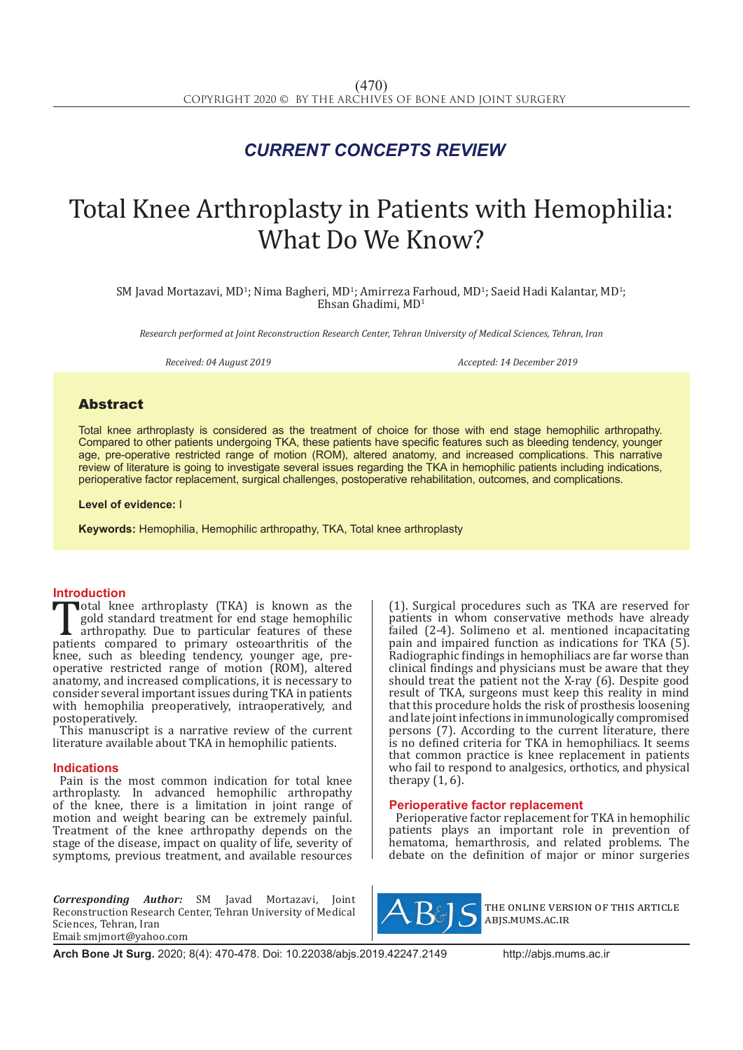## *CURRENT CONCEPTS REVIEW*

# Total Knee Arthroplasty in Patients with Hemophilia: What Do We Know?

SM Javad Mortazavi, MD<sup>1</sup>; Nima Bagheri, MD<sup>1</sup>; Amirreza Farhoud, MD<sup>1</sup>; Saeid Hadi Kalantar, MD<sup>1</sup>; Ehsan Ghadimi, MD1

*Research performed at Joint Reconstruction Research Center, Tehran University of Medical Sciences, Tehran, Iran*

*Received: 04 August 2019 Accepted: 14 December 2019*

### Abstract

Total knee arthroplasty is considered as the treatment of choice for those with end stage hemophilic arthropathy. Compared to other patients undergoing TKA, these patients have specific features such as bleeding tendency, younger age, pre-operative restricted range of motion (ROM), altered anatomy, and increased complications. This narrative review of literature is going to investigate several issues regarding the TKA in hemophilic patients including indications, perioperative factor replacement, surgical challenges, postoperative rehabilitation, outcomes, and complications.

#### **Level of evidence:** I

**Keywords:** Hemophilia, Hemophilic arthropathy, TKA, Total knee arthroplasty

**Introduction**<br>
Total knee arthroplasty (TKA) is known as the Total knee arthroplasty (TKA) is known as the gold standard treatment for end stage hemophilic arthropathy. Due to particular features of these patients compared to primary osteoarthritis of the knee such as bleeding tende gold standard treatment for end stage hemophilic arthropathy. Due to particular features of these knee, such as bleeding tendency, younger age, preoperative restricted range of motion (ROM), altered anatomy, and increased complications, it is necessary to consider several important issues during TKA in patients with hemophilia preoperatively, intraoperatively, and postoperatively.

This manuscript is a narrative review of the current literature available about TKA in hemophilic patients.

#### **Indications**

Pain is the most common indication for total knee arthroplasty. In advanced hemophilic arthropathy of the knee, there is a limitation in joint range of motion and weight bearing can be extremely painful. Treatment of the knee arthropathy depends on the stage of the disease, impact on quality of life, severity of symptoms, previous treatment, and available resources

*Corresponding Author:* SM Javad Mortazavi, Joint Reconstruction Research Center, Tehran University of Medical Sciences, Tehran, Iran Email: smjmort@yahoo.com

(1). Surgical procedures such as TKA are reserved for patients in whom conservative methods have already failed (2-4). Solimeno et al. mentioned incapacitating pain and impaired function as indications for TKA (5). Radiographic findings in hemophiliacs are far worse than clinical findings and physicians must be aware that they should treat the patient not the X-ray (6). Despite good result of TKA, surgeons must keep this reality in mind that this procedure holds the risk of prosthesis loosening and late joint infections in immunologically compromised persons (7). According to the current literature, there is no defined criteria for TKA in hemophiliacs. It seems that common practice is knee replacement in patients who fail to respond to analgesics, orthotics, and physical therapy  $(1, 6)$ .

### **Perioperative factor replacement**

Perioperative factor replacement for TKA in hemophilic patients plays an important role in prevention of hematoma, hemarthrosis, and related problems. The debate on the definition of major or minor surgeries



the online version of this article abjs.mums.ac.ir

**Arch Bone Jt Surg.** 2020; 8(4): 470-478. Doi: 10.22038/abjs.2019.42247.2149 http://abjs.mums.ac.ir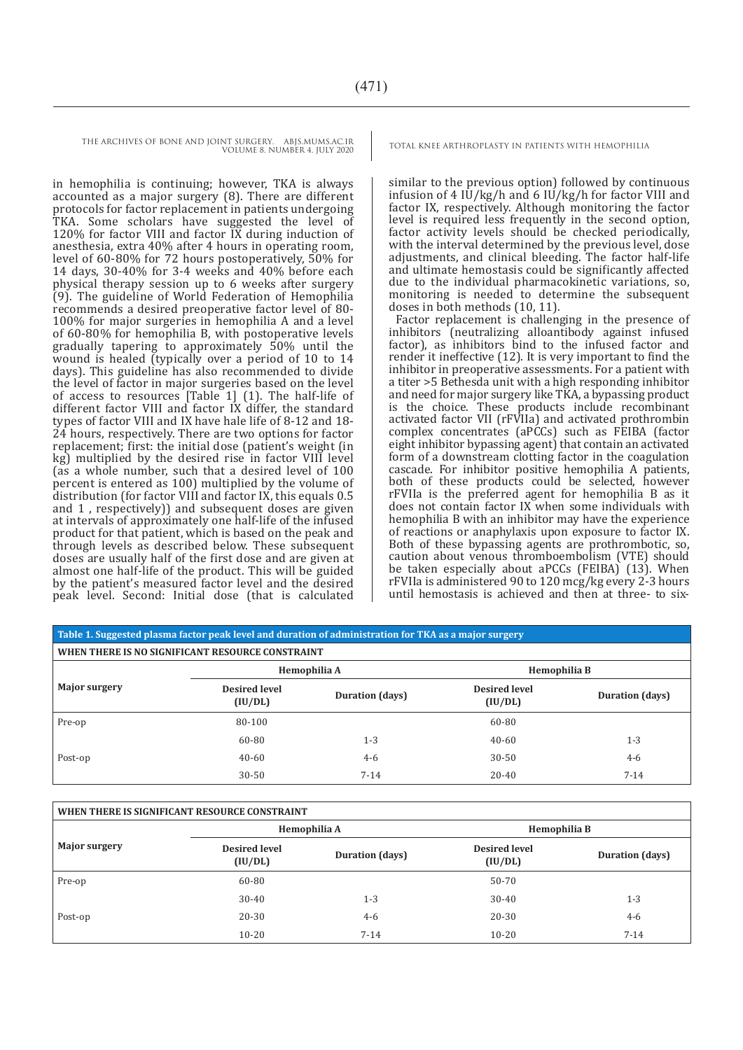in hemophilia is continuing; however, TKA is always accounted as a major surgery (8). There are different protocols for factor replacement in patients undergoing TKA. Some scholars have suggested the level of 120% for factor VIII and factor IX during induction of anesthesia, extra 40% after 4 hours in operating room, level of 60-80% for 72 hours postoperatively, 50% for 14 days, 30-40% for 3-4 weeks and 40% before each physical therapy session up to 6 weeks after surgery (9). The guideline of World Federation of Hemophilia recommends a desired preoperative factor level of 80- 100% for major surgeries in hemophilia A and a level of 60-80% for hemophilia B, with postoperative levels gradually tapering to approximately 50% until the wound is healed (typically over a period of 10 to 14 days). This guideline has also recommended to divide the level of factor in major surgeries based on the level of access to resources [Table 1] (1). The half-life of different factor VIII and factor IX differ, the standard types of factor VIII and IX have hale life of 8-12 and 18- 24 hours, respectively. There are two options for factor replacement; first: the initial dose (patient's weight (in kg) multiplied by the desired rise in factor VIII level (as a whole number, such that a desired level of 100 percent is entered as 100) multiplied by the volume of distribution (for factor VIII and factor IX, this equals 0.5 and 1 , respectively)) and subsequent doses are given at intervals of approximately one half-life of the infused product for that patient, which is based on the peak and through levels as described below. These subsequent doses are usually half of the first dose and are given at almost one half-life of the product. This will be guided by the patient's measured factor level and the desired peak level. Second: Initial dose (that is calculated

similar to the previous option) followed by continuous infusion of 4  $I\overline{U}/kg/h$  and 6  $I\overline{U}/kg/h$  for factor VIII and factor IX, respectively. Although monitoring the factor level is required less frequently in the second option, factor activity levels should be checked periodically, with the interval determined by the previous level, dose adjustments, and clinical bleeding. The factor half-life and ultimate hemostasis could be significantly affected due to the individual pharmacokinetic variations, so, monitoring is needed to determine the subsequent doses in both methods (10, 11).

Factor replacement is challenging in the presence of inhibitors (neutralizing alloantibody against infused factor), as inhibitors bind to the infused factor and render it ineffective (12). It is very important to find the inhibitor in preoperative assessments. For a patient with a titer >5 Bethesda unit with a high responding inhibitor and need for major surgery like TKA, a bypassing product is the choice. These products include recombinant activated factor VII (rFVIIa) and activated prothrombin complex concentrates (aPCCs) such as FEIBA (factor eight inhibitor bypassing agent) that contain an activated form of a downstream clotting factor in the coagulation cascade. For inhibitor positive hemophilia A patients, both of these products could be selected, however rFVIIa is the preferred agent for hemophilia B as it does not contain factor IX when some individuals with hemophilia B with an inhibitor may have the experience of reactions or anaphylaxis upon exposure to factor IX. Both of these bypassing agents are prothrombotic, so, caution about venous thromboembolism (VTE) should be taken especially about aPCCs (FEIBA) (13). When rFVIIa is administered 90 to 120 mcg/kg every 2-3 hours until hemostasis is achieved and then at three- to six-

#### **Table 1. Suggested plasma factor peak level and duration of administration for TKA as a major surgery**

| WHEN THERE IS NO SIGNIFICANT RESOURCE CONSTRAINT |                                 |                 |                                 |                 |  |  |
|--------------------------------------------------|---------------------------------|-----------------|---------------------------------|-----------------|--|--|
| <b>Major surgery</b>                             | Hemophilia A                    |                 | Hemophilia B                    |                 |  |  |
|                                                  | <b>Desired level</b><br>(IU/DL) | Duration (days) | <b>Desired level</b><br>(IU/DL) | Duration (days) |  |  |
| Pre-op                                           | 80-100                          |                 | 60-80                           |                 |  |  |
|                                                  | 60-80                           | $1 - 3$         | $40 - 60$                       | $1 - 3$         |  |  |
| Post-op                                          | $40 - 60$                       | $4-6$           | $30 - 50$                       | $4 - 6$         |  |  |
|                                                  | $30 - 50$                       | $7 - 14$        | $20 - 40$                       | $7 - 14$        |  |  |

| WHEN THERE IS SIGNIFICANT RESOURCE CONSTRAINT |                                 |                 |                                 |                 |  |  |
|-----------------------------------------------|---------------------------------|-----------------|---------------------------------|-----------------|--|--|
| <b>Major surgery</b>                          | Hemophilia A                    |                 | Hemophilia B                    |                 |  |  |
|                                               | <b>Desired level</b><br>(IU/DL) | Duration (days) | <b>Desired level</b><br>(IU/DL) | Duration (days) |  |  |
| Pre-op                                        | 60-80                           |                 | 50-70                           |                 |  |  |
|                                               | $30 - 40$                       | $1 - 3$         | $30-40$                         | $1 - 3$         |  |  |
| Post-op                                       | 20-30                           | $4 - 6$         | 20-30                           | $4 - 6$         |  |  |
|                                               | $10 - 20$                       | $7 - 14$        | $10 - 20$                       | $7 - 14$        |  |  |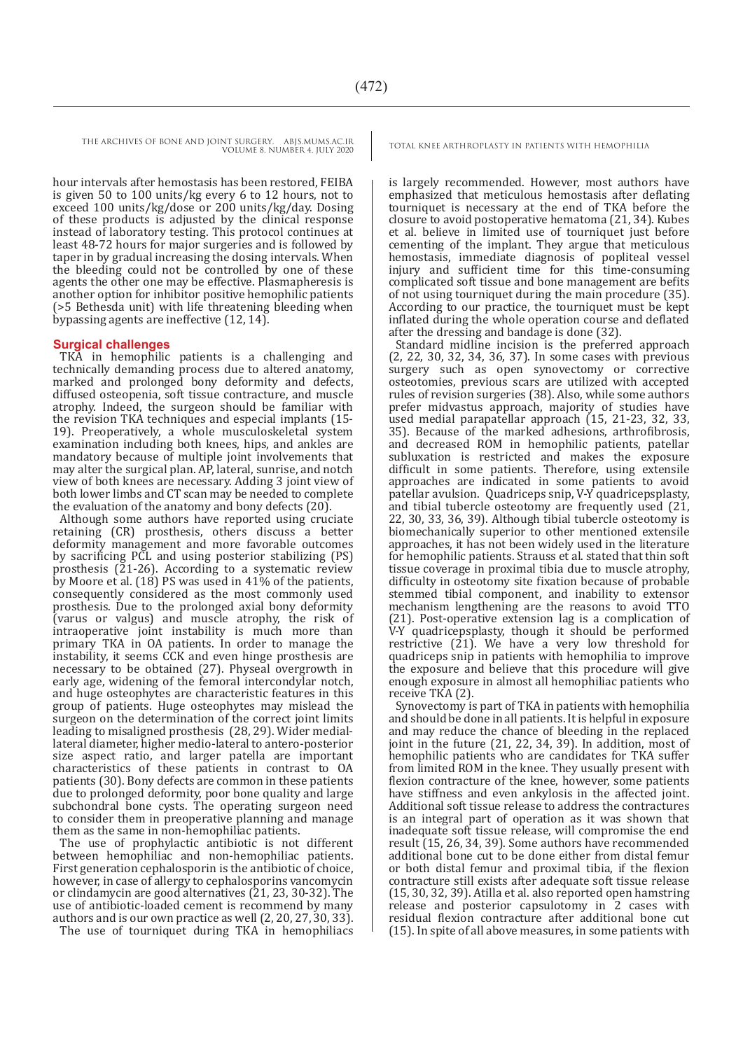hour intervals after hemostasis has been restored, FEIBA is given 50 to 100 units/kg every 6 to 12 hours, not to exceed 100 units/kg/dose or 200 units/kg/day. Dosing of these products is adjusted by the clinical response instead of laboratory testing. This protocol continues at least 48-72 hours for major surgeries and is followed by taper in by gradual increasing the dosing intervals. When the bleeding could not be controlled by one of these agents the other one may be effective. Plasmapheresis is another option for inhibitor positive hemophilic patients (>5 Bethesda unit) with life threatening bleeding when bypassing agents are ineffective (12, 14).

#### **Surgical challenges**

TKA in hemophilic patients is a challenging and technically demanding process due to altered anatomy, marked and prolonged bony deformity and defects, diffused osteopenia, soft tissue contracture, and muscle atrophy. Indeed, the surgeon should be familiar with the revision TKA techniques and especial implants (15- 19). Preoperatively, a whole musculoskeletal system examination including both knees, hips, and ankles are mandatory because of multiple joint involvements that may alter the surgical plan. AP, lateral, sunrise, and notch view of both knees are necessary. Adding 3 joint view of both lower limbs and CT scan may be needed to complete the evaluation of the anatomy and bony defects (20).

Although some authors have reported using cruciate retaining (CR) prosthesis, others discuss a better deformity management and more favorable outcomes by sacrificing PCL and using posterior stabilizing (PS) prosthesis (21-26). According to a systematic review by Moore et al.  $(18)$  PS was used in 41% of the patients, consequently considered as the most commonly used prosthesis. Due to the prolonged axial bony deformity (varus or valgus) and muscle atrophy, the risk of intraoperative joint instability is much more than primary TKA in OA patients. In order to manage the instability, it seems CCK and even hinge prosthesis are necessary to be obtained (27). Physeal overgrowth in early age, widening of the femoral intercondylar notch, and huge osteophytes are characteristic features in this group of patients. Huge osteophytes may mislead the surgeon on the determination of the correct joint limits leading to misaligned prosthesis (28, 29). Wider mediallateral diameter, higher medio-lateral to antero-posterior size aspect ratio, and larger patella are important characteristics of these patients in contrast to OA patients (30). Bony defects are common in these patients due to prolonged deformity, poor bone quality and large subchondral bone cysts. The operating surgeon need to consider them in preoperative planning and manage them as the same in non-hemophiliac patients.

The use of prophylactic antibiotic is not different between hemophiliac and non-hemophiliac patients. First generation cephalosporin is the antibiotic of choice, however, in case of allergy to cephalosporins vancomycin or clindamycin are good alternatives (21, 23, 30-32). The use of antibiotic-loaded cement is recommend by many authors and is our own practice as well (2, 20, 27, 30, 33).

The use of tourniquet during TKA in hemophiliacs

is largely recommended. However, most authors have emphasized that meticulous hemostasis after deflating tourniquet is necessary at the end of TKA before the closure to avoid postoperative hematoma (21, 34). Kubes et al. believe in limited use of tourniquet just before cementing of the implant. They argue that meticulous hemostasis, immediate diagnosis of popliteal vessel injury and sufficient time for this time-consuming complicated soft tissue and bone management are befits of not using tourniquet during the main procedure (35). According to our practice, the tourniquet must be kept inflated during the whole operation course and deflated after the dressing and bandage is done (32).

Standard midline incision is the preferred approach (2, 22, 30, 32, 34, 36, 37). In some cases with previous surgery such as open synovectomy or corrective osteotomies, previous scars are utilized with accepted rules of revision surgeries (38). Also, while some authors prefer midvastus approach, majority of studies have used medial parapatellar approach (15, 21-23, 32, 33, 35). Because of the marked adhesions, arthrofibrosis, and decreased ROM in hemophilic patients, patellar subluxation is restricted and makes the exposure difficult in some patients. Therefore, using extensile approaches are indicated in some patients to avoid patellar avulsion. Quadriceps snip, V-Y quadricepsplasty, and tibial tubercle osteotomy are frequently used (21, 22, 30, 33, 36, 39). Although tibial tubercle osteotomy is biomechanically superior to other mentioned extensile approaches, it has not been widely used in the literature for hemophilic patients. Strauss et al. stated that thin soft tissue coverage in proximal tibia due to muscle atrophy, difficulty in osteotomy site fixation because of probable stemmed tibial component, and inability to extensor mechanism lengthening are the reasons to avoid TTO (21). Post-operative extension lag is a complication of V-Y quadricepsplasty, though it should be performed restrictive (21). We have a very low threshold for quadriceps snip in patients with hemophilia to improve the exposure and believe that this procedure will give enough exposure in almost all hemophiliac patients who receive TKA (2).

Synovectomy is part of TKA in patients with hemophilia and should be done in all patients. It is helpful in exposure and may reduce the chance of bleeding in the replaced joint in the future (21, 22, 34, 39). In addition, most of hemophilic patients who are candidates for TKA suffer from limited ROM in the knee. They usually present with flexion contracture of the knee, however, some patients have stiffness and even ankylosis in the affected joint. Additional soft tissue release to address the contractures is an integral part of operation as it was shown that inadequate soft tissue release, will compromise the end result (15, 26, 34, 39). Some authors have recommended additional bone cut to be done either from distal femur or both distal femur and proximal tibia, if the flexion contracture still exists after adequate soft tissue release (15, 30, 32, 39). Atilla et al. also reported open hamstring release and posterior capsulotomy in 2 cases with residual flexion contracture after additional bone cut (15). In spite of all above measures, in some patients with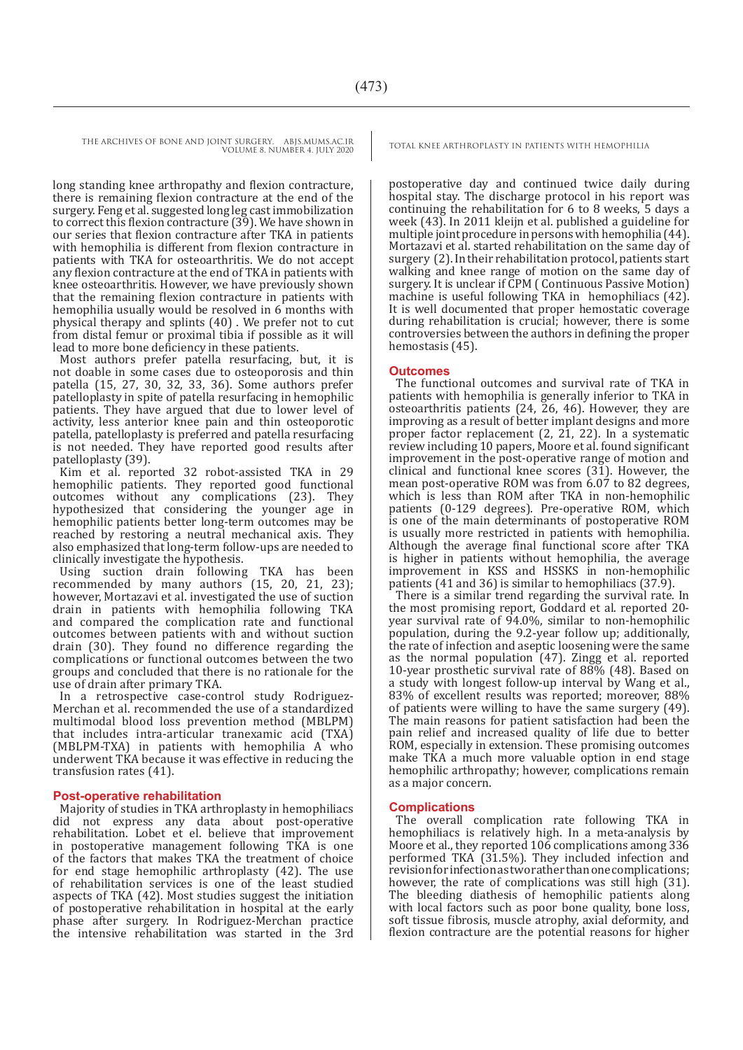long standing knee arthropathy and flexion contracture, there is remaining flexion contracture at the end of the surgery. Feng et al. suggested long leg cast immobilization to correct this flexion contracture (39). We have shown in our series that flexion contracture after TKA in patients with hemophilia is different from flexion contracture in patients with TKA for osteoarthritis. We do not accept any flexion contracture at the end of TKA in patients with knee osteoarthritis. However, we have previously shown that the remaining flexion contracture in patients with hemophilia usually would be resolved in 6 months with physical therapy and splints (40) . We prefer not to cut from distal femur or proximal tibia if possible as it will lead to more bone deficiency in these patients.

Most authors prefer patella resurfacing, but, it is not doable in some cases due to osteoporosis and thin patella (15, 27, 30, 32, 33, 36). Some authors prefer patelloplasty in spite of patella resurfacing in hemophilic patients. They have argued that due to lower level of activity, less anterior knee pain and thin osteoporotic patella, patelloplasty is preferred and patella resurfacing is not needed. They have reported good results after patelloplasty (39).

Kim et al. reported 32 robot-assisted TKA in 29 hemophilic patients. They reported good functional outcomes without any complications (23). They hypothesized that considering the younger age in hemophilic patients better long-term outcomes may be reached by restoring a neutral mechanical axis. They also emphasized that long-term follow-ups are needed to clinically investigate the hypothesis.

Using suction drain following TKA has been recommended by many authors (15, 20, 21, 23); however, Mortazavi et al. investigated the use of suction drain in patients with hemophilia following TKA and compared the complication rate and functional outcomes between patients with and without suction drain (30). They found no difference regarding the complications or functional outcomes between the two groups and concluded that there is no rationale for the use of drain after primary TKA.

In a retrospective case-control study Rodriguez-Merchan et al. recommended the use of a standardized multimodal blood loss prevention method (MBLPM) that includes intra-articular tranexamic acid (TXA) (MBLPM-TXA) in patients with hemophilia A who underwent TKA because it was effective in reducing the transfusion rates (41).

#### **Post-operative rehabilitation**

Majority of studies in TKA arthroplasty in hemophiliacs did not express any data about post-operative rehabilitation. Lobet et el. believe that improvement in postoperative management following TKA is one of the factors that makes TKA the treatment of choice for end stage hemophilic arthroplasty (42). The use of rehabilitation services is one of the least studied aspects of TKA (42). Most studies suggest the initiation of postoperative rehabilitation in hospital at the early phase after surgery. In Rodriguez-Merchan practice the intensive rehabilitation was started in the 3rd

postoperative day and continued twice daily during hospital stay. The discharge protocol in his report was continuing the rehabilitation for 6 to 8 weeks, 5 days a week (43). In 2011 kleijn et al. published a guideline for multiple joint procedure in persons with hemophilia (44). Mortazavi et al. started rehabilitation on the same day of surgery (2). In their rehabilitation protocol, patients start walking and knee range of motion on the same day of surgery. It is unclear if CPM ( Continuous Passive Motion) machine is useful following TKA in hemophiliacs (42). It is well documented that proper hemostatic coverage during rehabilitation is crucial; however, there is some controversies between the authors in defining the proper hemostasis (45).

#### **Outcomes**

The functional outcomes and survival rate of TKA in patients with hemophilia is generally inferior to TKA in osteoarthritis patients (24, 26, 46). However, they are improving as a result of better implant designs and more proper factor replacement (2, 21, 22). In a systematic review including 10 papers, Moore et al. found significant improvement in the post-operative range of motion and clinical and functional knee scores (31). However, the mean post-operative ROM was from 6.07 to 82 degrees, which is less than ROM after TKA in non-hemophilic patients (0-129 degrees). Pre-operative ROM, which is one of the main determinants of postoperative ROM is usually more restricted in patients with hemophilia. Although the average final functional score after TKA is higher in patients without hemophilia, the average improvement in KSS and HSSKS in non-hemophilic patients (41 and 36) is similar to hemophiliacs (37.9).

There is a similar trend regarding the survival rate. In the most promising report, Goddard et al. reported 20 year survival rate of 94.0%, similar to non-hemophilic population, during the 9.2-year follow up; additionally, the rate of infection and aseptic loosening were the same as the normal population (47). Zingg et al. reported 10-year prosthetic survival rate of 88% (48). Based on a study with longest follow-up interval by Wang et al., 83% of excellent results was reported; moreover, 88% of patients were willing to have the same surgery (49). The main reasons for patient satisfaction had been the pain relief and increased quality of life due to better ROM, especially in extension. These promising outcomes make TKA a much more valuable option in end stage hemophilic arthropathy; however, complications remain as a major concern.

#### **Complications**

The overall complication rate following TKA in hemophiliacs is relatively high. In a meta-analysis by Moore et al., they reported 106 complications among 336 performed TKA (31.5%). They included infection and revision for infection as two rather than one complications; however, the rate of complications was still high (31). The bleeding diathesis of hemophilic patients along with local factors such as poor bone quality, bone loss, soft tissue fibrosis, muscle atrophy, axial deformity, and flexion contracture are the potential reasons for higher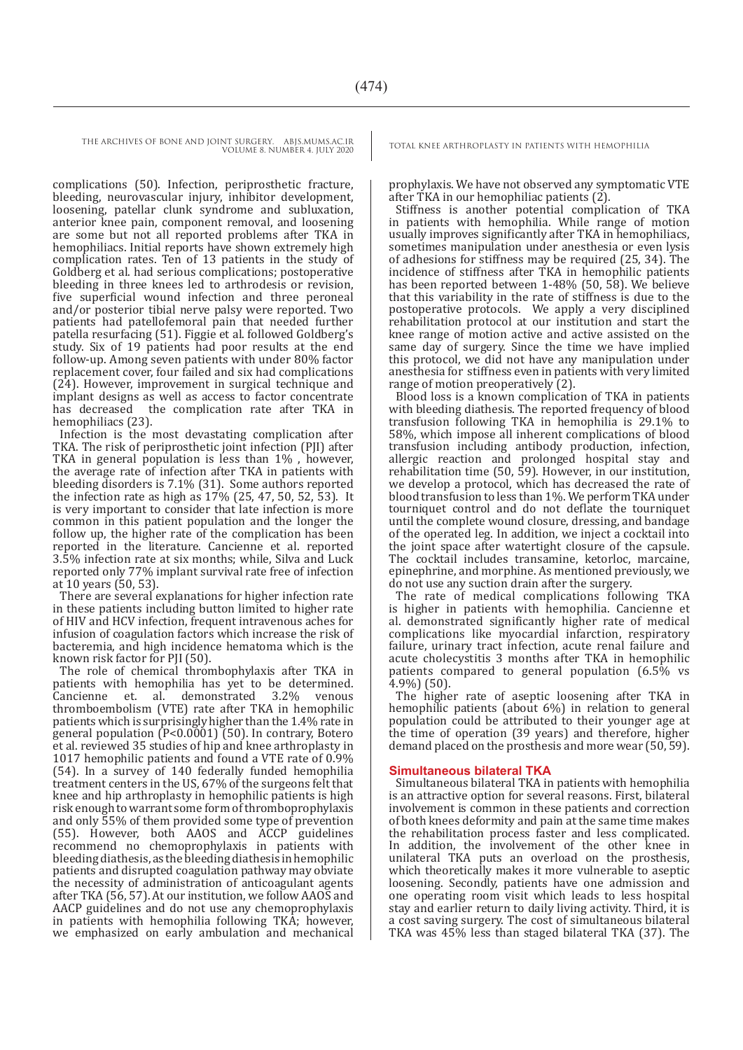complications (50). Infection, periprosthetic fracture, bleeding, neurovascular injury, inhibitor development, loosening, patellar clunk syndrome and subluxation, anterior knee pain, component removal, and loosening are some but not all reported problems after TKA in hemophiliacs. Initial reports have shown extremely high complication rates. Ten of 13 patients in the study of Goldberg et al. had serious complications; postoperative bleeding in three knees led to arthrodesis or revision, five superficial wound infection and three peroneal and/or posterior tibial nerve palsy were reported. Two patients had patellofemoral pain that needed further patella resurfacing (51). Figgie et al. followed Goldberg's study. Six of 19 patients had poor results at the end follow-up. Among seven patients with under 80% factor replacement cover, four failed and six had complications (24). However, improvement in surgical technique and implant designs as well as access to factor concentrate has decreased the complication rate after TKA in hemophiliacs (23).

Infection is the most devastating complication after TKA. The risk of periprosthetic joint infection (PJI) after TKA in general population is less than 1% , however, the average rate of infection after TKA in patients with bleeding disorders is 7.1% (31). Some authors reported the infection rate as high as 17% (25, 47, 50, 52, 53). It is very important to consider that late infection is more common in this patient population and the longer the follow up, the higher rate of the complication has been reported in the literature. Cancienne et al. reported 3.5% infection rate at six months; while, Silva and Luck reported only 77% implant survival rate free of infection at 10 years (50, 53).

There are several explanations for higher infection rate in these patients including button limited to higher rate of HIV and HCV infection, frequent intravenous aches for infusion of coagulation factors which increase the risk of bacteremia, and high incidence hematoma which is the known risk factor for PJI (50).

The role of chemical thrombophylaxis after TKA in patients with hemophilia has yet to be determined.<br>Cancienne et. al. demonstrated 3.2% venous et. al. demonstrated 3.2% thromboembolism (VTE) rate after TKA in hemophilic patients which is surprisingly higher than the 1.4% rate in general population (P<0.0001) (50). In contrary, Botero et al. reviewed 35 studies of hip and knee arthroplasty in 1017 hemophilic patients and found a VTE rate of 0.9% (54). In a survey of 140 federally funded hemophilia treatment centers in the US, 67% of the surgeons felt that knee and hip arthroplasty in hemophilic patients is high risk enough to warrant some form of thromboprophylaxis and only 55% of them provided some type of prevention (55). However, both AAOS and ACCP guidelines recommend no chemoprophylaxis in patients with bleeding diathesis, as the bleeding diathesis in hemophilic patients and disrupted coagulation pathway may obviate the necessity of administration of anticoagulant agents after TKA (56, 57). At our institution, we follow AAOS and AACP guidelines and do not use any chemoprophylaxis in patients with hemophilia following TKA; however, we emphasized on early ambulation and mechanical

prophylaxis. We have not observed any symptomatic VTE after TKA in our hemophiliac patients (2).

Stiffness is another potential complication of TKA in patients with hemophilia. While range of motion usually improves significantly after TKA in hemophiliacs, sometimes manipulation under anesthesia or even lysis of adhesions for stiffness may be required (25, 34). The incidence of stiffness after TKA in hemophilic patients has been reported between 1-48% (50, 58). We believe that this variability in the rate of stiffness is due to the postoperative protocols. We apply a very disciplined rehabilitation protocol at our institution and start the knee range of motion active and active assisted on the same day of surgery. Since the time we have implied this protocol, we did not have any manipulation under anesthesia for stiffness even in patients with very limited range of motion preoperatively (2).

Blood loss is a known complication of TKA in patients with bleeding diathesis. The reported frequency of blood transfusion following TKA in hemophilia is 29.1% to 58%, which impose all inherent complications of blood transfusion including antibody production, infection, allergic reaction and prolonged hospital stay and rehabilitation time (50, 59). However, in our institution, we develop a protocol, which has decreased the rate of blood transfusion to less than 1%. We perform TKA under tourniquet control and do not deflate the tourniquet until the complete wound closure, dressing, and bandage of the operated leg. In addition, we inject a cocktail into the joint space after watertight closure of the capsule. The cocktail includes transamine, ketorloc, marcaine, epinephrine, and morphine. As mentioned previously, we do not use any suction drain after the surgery.

The rate of medical complications following TKA is higher in patients with hemophilia. Cancienne et al. demonstrated significantly higher rate of medical complications like myocardial infarction, respiratory failure, urinary tract infection, acute renal failure and acute cholecystitis 3 months after TKA in hemophilic patients compared to general population (6.5% vs 4.9%) (50).

The higher rate of aseptic loosening after TKA in hemophilic patients (about 6%) in relation to general population could be attributed to their younger age at the time of operation (39 years) and therefore, higher demand placed on the prosthesis and more wear (50, 59).

#### **Simultaneous bilateral TKA**

Simultaneous bilateral TKA in patients with hemophilia is an attractive option for several reasons. First, bilateral involvement is common in these patients and correction of both knees deformity and pain at the same time makes the rehabilitation process faster and less complicated. In addition, the involvement of the other knee in unilateral TKA puts an overload on the prosthesis, which theoretically makes it more vulnerable to aseptic loosening. Secondly, patients have one admission and one operating room visit which leads to less hospital stay and earlier return to daily living activity. Third, it is a cost saving surgery. The cost of simultaneous bilateral TKA was 45% less than staged bilateral TKA (37). The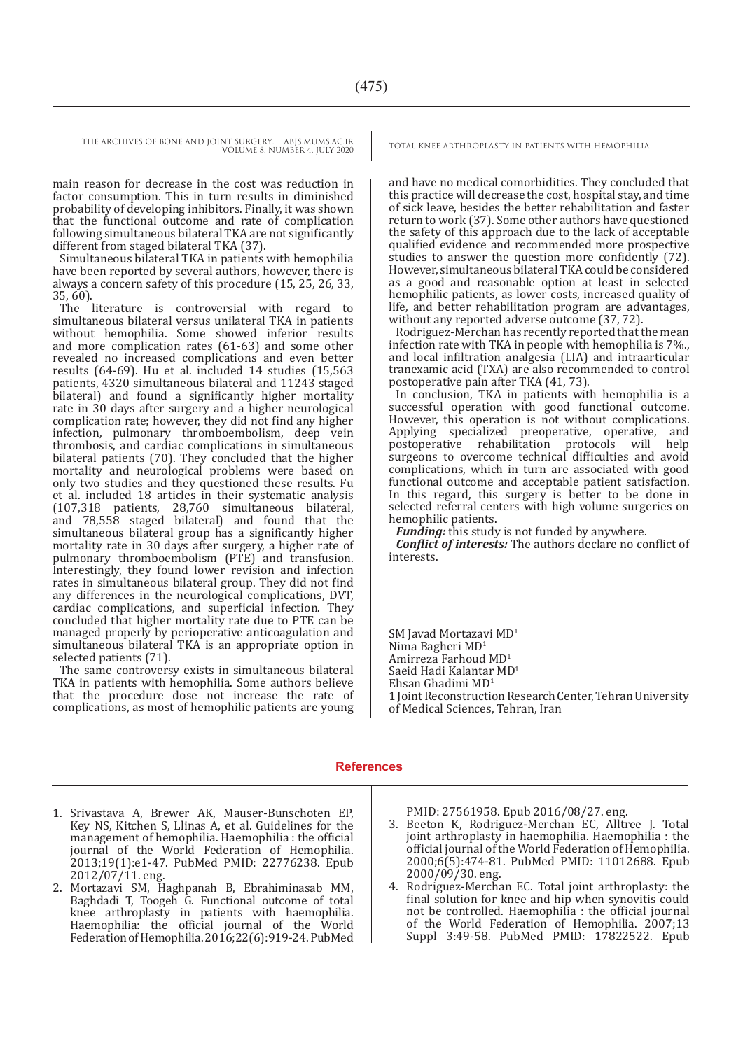main reason for decrease in the cost was reduction in factor consumption. This in turn results in diminished probability of developing inhibitors. Finally, it was shown that the functional outcome and rate of complication following simultaneous bilateral TKA are not significantly different from staged bilateral TKA (37).

Simultaneous bilateral TKA in patients with hemophilia have been reported by several authors, however, there is always a concern safety of this procedure (15, 25, 26, 33, 35, 60).

The literature is controversial with regard to simultaneous bilateral versus unilateral TKA in patients without hemophilia. Some showed inferior results and more complication rates (61-63) and some other revealed no increased complications and even better results (64-69). Hu et al. included 14 studies (15,563 patients, 4320 simultaneous bilateral and 11243 staged bilateral) and found a significantly higher mortality rate in 30 days after surgery and a higher neurological complication rate; however, they did not find any higher infection, pulmonary thromboembolism, deep vein thrombosis, and cardiac complications in simultaneous bilateral patients (70). They concluded that the higher mortality and neurological problems were based on only two studies and they questioned these results. Fu et al. included 18 articles in their systematic analysis (107,318 patients, 28,760 simultaneous bilateral, and 78,558 staged bilateral) and found that the simultaneous bilateral group has a significantly higher mortality rate in 30 days after surgery, a higher rate of pulmonary thromboembolism (PTE) and transfusion. Interestingly, they found lower revision and infection rates in simultaneous bilateral group. They did not find any differences in the neurological complications, DVT, cardiac complications, and superficial infection. They concluded that higher mortality rate due to PTE can be managed properly by perioperative anticoagulation and simultaneous bilateral TKA is an appropriate option in selected patients (71).

The same controversy exists in simultaneous bilateral TKA in patients with hemophilia. Some authors believe that the procedure dose not increase the rate of complications, as most of hemophilic patients are young

and have no medical comorbidities. They concluded that this practice will decrease the cost, hospital stay, and time of sick leave, besides the better rehabilitation and faster return to work (37). Some other authors have questioned the safety of this approach due to the lack of acceptable qualified evidence and recommended more prospective studies to answer the question more confidently (72). However, simultaneous bilateral TKA could be considered as a good and reasonable option at least in selected hemophilic patients, as lower costs, increased quality of life, and better rehabilitation program are advantages, without any reported adverse outcome (37, 72).

Rodriguez-Merchan has recently reported that the mean infection rate with TKA in people with hemophilia is 7%., and local infiltration analgesia (LIA) and intraarticular tranexamic acid (TXA) are also recommended to control postoperative pain after TKA (41, 73).

In conclusion, TKA in patients with hemophilia is a successful operation with good functional outcome. However, this operation is not without complications. Applying specialized preoperative, operative, and postoperative rehabilitation protocols will help postoperative rehabilitation protocols surgeons to overcome technical difficulties and avoid complications, which in turn are associated with good functional outcome and acceptable patient satisfaction. In this regard, this surgery is better to be done in selected referral centers with high volume surgeries on hemophilic patients.

*Funding:* this study is not funded by anywhere.

*Conflict of interests:* The authors declare no conflict of interests.

SM Javad Mortazavi MD<sup>1</sup> Nima Bagheri MD1 Amirreza Farhoud MD1 Saeid Hadi Kalantar MD<sup>1</sup> Ehsan Ghadimi MD1 1 Joint Reconstruction Research Center, Tehran University of Medical Sciences, Tehran, Iran

#### **References**

- 1. Srivastava A, Brewer AK, Mauser-Bunschoten EP, Key NS, Kitchen S, Llinas A, et al. Guidelines for the management of hemophilia. Haemophilia : the official journal of the World Federation of Hemophilia. 2013;19(1):e1-47. PubMed PMID: 22776238. Epub 2012/07/11. eng.
- 2. Mortazavi SM, Haghpanah B, Ebrahiminasab MM, Baghdadi T, Toogeh G. Functional outcome of total knee arthroplasty in patients with haemophilia. Haemophilia: the official journal of the World Federation of Hemophilia. 2016;22(6):919-24. PubMed

PMID: 27561958. Epub 2016/08/27. eng.

- 3. Beeton K, Rodriguez-Merchan EC, Alltree J. Total joint arthroplasty in haemophilia. Haemophilia : the official journal of the World Federation of Hemophilia. 2000;6(5):474-81. PubMed PMID: 11012688. Epub 2000/09/30. eng.
- 4. Rodriguez-Merchan EC. Total joint arthroplasty: the final solution for knee and hip when synovitis could not be controlled. Haemophilia : the official journal of the World Federation of Hemophilia. 2007;13 Suppl 3:49-58. PubMed PMID: 17822522. Epub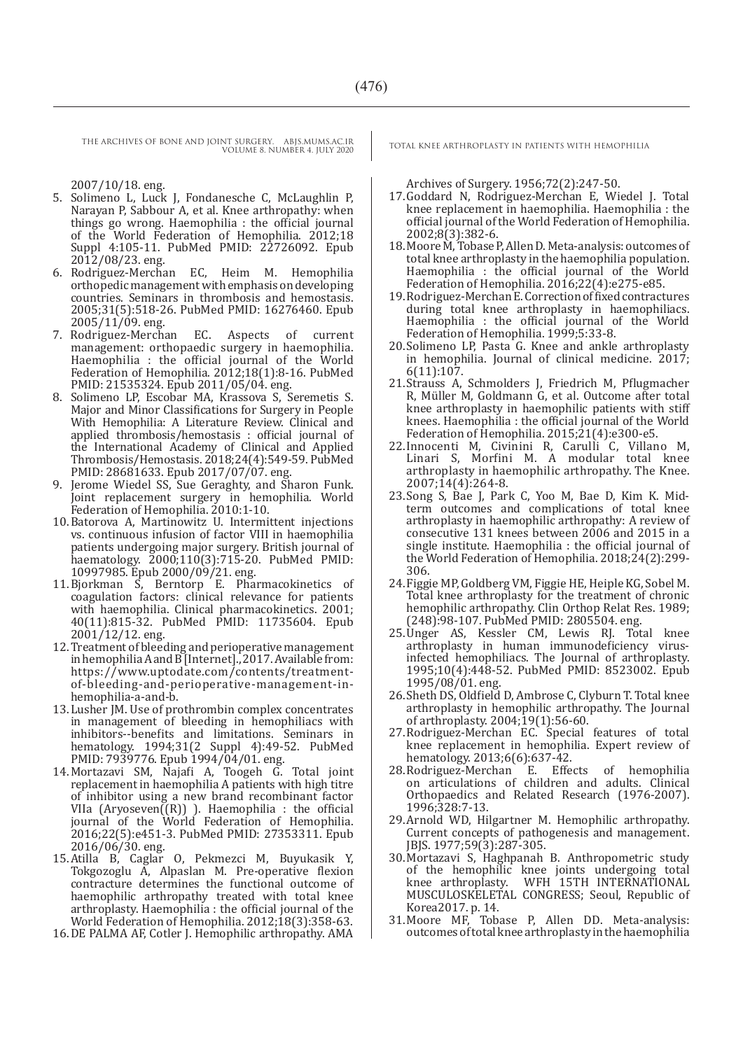2007/10/18. eng.

- 5. Solimeno L, Luck J, Fondanesche C, McLaughlin P, Narayan P, Sabbour A, et al. Knee arthropathy: when things go wrong. Haemophilia : the official journal of the World Federation of Hemophilia. 2012;18 Suppl 4:105-11. PubMed PMID: 22726092. Epub 2012/08/23. eng.
- 6. Rodriguez-Merchan EC, Heim M. Hemophilia orthopedic management with emphasis on developing countries. Seminars in thrombosis and hemostasis. 2005;31(5):518-26. PubMed PMID: 16276460. Epub 2005/11/09. eng.<br>7. Rodriguez-Merchan
- 7. Rodriguez-Merchan EC. Aspects of current management: orthopaedic surgery in haemophilia. Haemophilia : the official journal of the World Federation of Hemophilia. 2012;18(1):8-16. PubMed PMID: 21535324. Epub 2011/05/04. eng.
- 8. Solimeno LP, Escobar MA, Krassova S, Seremetis S. Major and Minor Classifications for Surgery in People With Hemophilia: A Literature Review. Clinical and applied thrombosis/hemostasis : official journal of the International Academy of Clinical and Applied Thrombosis/Hemostasis. 2018;24(4):549-59. PubMed PMID: 28681633. Epub 2017/07/07. eng.
- 9. Jerome Wiedel SS, Sue Geraghty, and Sharon Funk. Joint replacement surgery in hemophilia. World Federation of Hemophilia. 2010:1-10.
- 10.Batorova A, Martinowitz U. Intermittent injections vs. continuous infusion of factor VIII in haemophilia patients undergoing major surgery. British journal of haematology. 2000;110(3):715-20. PubMed PMID: 10997985. Epub 2000/09/21. eng.
- 11.Bjorkman S, Berntorp E. Pharmacokinetics of coagulation factors: clinical relevance for patients with haemophilia. Clinical pharmacokinetics. 2001; 40(11):815-32. PubMed PMID: 11735604. Epub 2001/12/12. eng.
- 12.Treatment of bleeding and perioperative management in hemophilia A and B [Internet]., 2017. Available from: https://www.uptodate.com/contents/treatmentof-bleeding-and-perioperative-management-inhemophilia-a-and-b.
- 13.Lusher JM. Use of prothrombin complex concentrates in management of bleeding in hemophiliacs with inhibitors--benefits and limitations. Seminars in hematology. 1994;31(2 Suppl 4):49-52. PubMed PMID: 7939776. Epub 1994/04/01. eng.
- 14.Mortazavi SM, Najafi A, Toogeh G. Total joint replacement in haemophilia A patients with high titre of inhibitor using a new brand recombinant factor VIIa  $(Aryoseven((R))$  ). Haemophilia : the official journal of the World Federation of Hemophilia. 2016;22(5):e451-3. PubMed PMID: 27353311. Epub 2016/06/30. eng.
- 15.Atilla B, Caglar O, Pekmezci M, Buyukasik Y, Tokgozoglu A, Alpaslan M. Pre‐operative flexion contracture determines the functional outcome of haemophilic arthropathy treated with total knee arthroplasty. Haemophilia : the official journal of the World Federation of Hemophilia. 2012;18(3):358-63.
- 16.DE PALMA AF, Cotler J. Hemophilic arthropathy. AMA

Archives of Surgery. 1956;72(2):247-50.

- 17.Goddard N, Rodriguez-Merchan E, Wiedel J. Total knee replacement in haemophilia. Haemophilia : the official journal of the World Federation of Hemophilia. 2002;8(3):382-6.
- 18.Moore M, Tobase P, Allen D. Meta-analysis: outcomes of total knee arthroplasty in the haemophilia population. Haemophilia : the official journal of the World Federation of Hemophilia. 2016;22(4):e275-e85.
- 19.Rodriguez‐Merchan E. Correction of fixed contractures during total knee arthroplasty in haemophiliacs. Haemophilia : the official journal of the World Federation of Hemophilia. 1999;5:33-8.
- 20.Solimeno LP, Pasta G. Knee and ankle arthroplasty in hemophilia. Journal of clinical medicine. 2017; 6(11):107.
- 21.Strauss A, Schmolders J, Friedrich M, Pflugmacher R, Müller M, Goldmann G, et al. Outcome after total knee arthroplasty in haemophilic patients with stiff knees. Haemophilia : the official journal of the World Federation of Hemophilia. 2015;21(4):e300-e5.
- 22.Innocenti M, Civinini R, Carulli C, Villano M, Linari S, Morfini M. A modular total knee arthroplasty in haemophilic arthropathy. The Knee. 2007;14(4):264-8.
- 23.Song S, Bae J, Park C, Yoo M, Bae D, Kim K. Midterm outcomes and complications of total knee arthroplasty in haemophilic arthropathy: A review of consecutive 131 knees between 2006 and 2015 in a single institute. Haemophilia : the official journal of the World Federation of Hemophilia. 2018;24(2):299- 306.
- 24.Figgie MP, Goldberg VM, Figgie HE, Heiple KG, Sobel M. Total knee arthroplasty for the treatment of chronic hemophilic arthropathy. Clin Orthop Relat Res. 1989; (248):98-107. PubMed PMID: 2805504. eng.
- 25.Unger AS, Kessler CM, Lewis RJ. Total knee arthroplasty in human immunodeficiency virusinfected hemophiliacs. The Journal of arthroplasty. 1995;10(4):448-52. PubMed PMID: 8523002. Epub 1995/08/01. eng.
- 26.Sheth DS, Oldfield D, Ambrose C, Clyburn T. Total knee arthroplasty in hemophilic arthropathy. The Journal of arthroplasty. 2004;19(1):56-60.
- 27.Rodriguez-Merchan EC. Special features of total knee replacement in hemophilia. Expert review of hematology. 2013;6(6):637-42.
- 28.Rodriguez-Merchan E. Effects of hemophilia on articulations of children and adults. Clinical Orthopaedics and Related Research (1976-2007). 1996;328:7-13.
- 29.Arnold WD, Hilgartner M. Hemophilic arthropathy. Current concepts of pathogenesis and management. JBJS. 1977;59(3):287-305.
- 30.Mortazavi S, Haghpanah B. Anthropometric study of the hemophilic knee joints undergoing total knee arthroplasty. WFH 15TH INTERNATIONAL MUSCULOSKELETAL CONGRESS; Seoul, Republic of Korea2017. p. 14.
- 31.Moore MF, Tobase P, Allen DD. Meta-analysis: outcomes of total knee arthroplasty in the haemophilia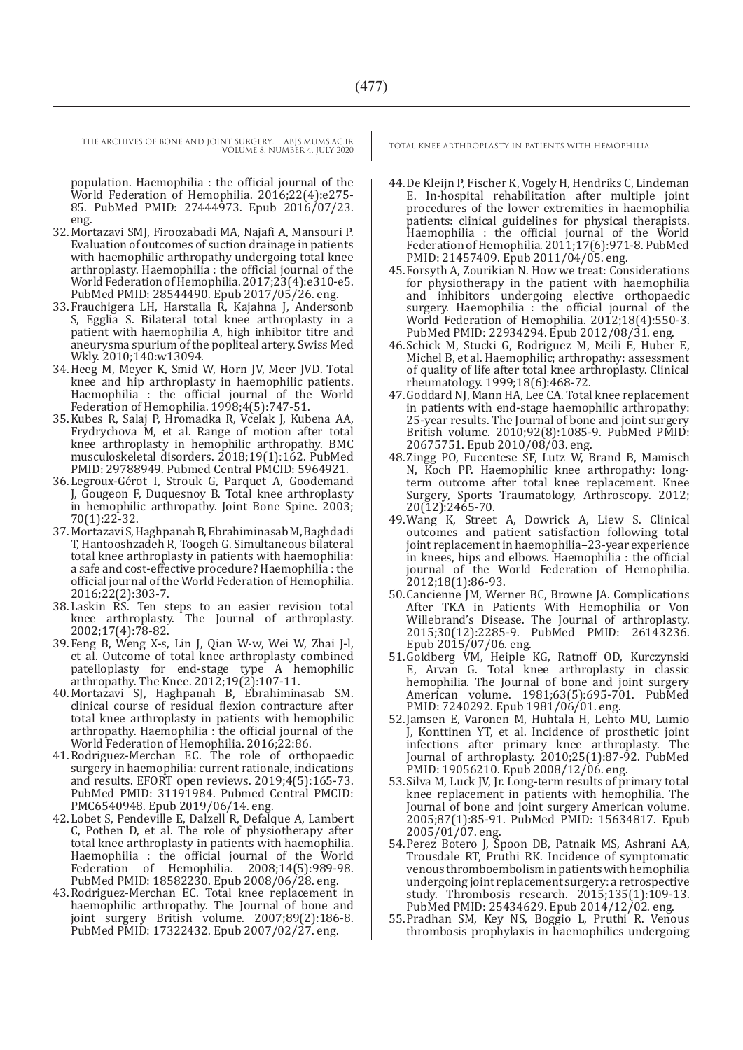population. Haemophilia : the official journal of the World Federation of Hemophilia. 2016;22(4):e275- 85. PubMed PMID: 27444973. Epub 2016/07/23. eng.

- 32.Mortazavi SMJ, Firoozabadi MA, Najafi A, Mansouri P. Evaluation of outcomes of suction drainage in patients with haemophilic arthropathy undergoing total knee arthroplasty. Haemophilia : the official journal of the World Federation of Hemophilia. 2017;23(4):e310-e5. PubMed PMID: 28544490. Epub 2017/05/26. eng.
- 33.Frauchigera LH, Harstalla R, Kajahna J, Andersonb S, Egglia S. Bilateral total knee arthroplasty in a patient with haemophilia A, high inhibitor titre and aneurysma spurium of the popliteal artery. Swiss Med Wkly. 2010;140:w13094.
- 34.Heeg M, Meyer K, Smid W, Horn JV, Meer JVD. Total knee and hip arthroplasty in haemophilic patients. Haemophilia : the official journal of the World Federation of Hemophilia. 1998;4(5):747-51.
- 35.Kubes R, Salaj P, Hromadka R, Vcelak J, Kubena AA, Frydrychova M, et al. Range of motion after total knee arthroplasty in hemophilic arthropathy. BMC musculoskeletal disorders. 2018;19(1):162. PubMed PMID: 29788949. Pubmed Central PMCID: 5964921.
- 36.Legroux-Gérot I, Strouk G, Parquet A, Goodemand J, Gougeon F, Duquesnoy B. Total knee arthroplasty in hemophilic arthropathy. Joint Bone Spine. 2003; 70(1):22-32.
- 37.Mortazavi S, Haghpanah B, Ebrahiminasab M, Baghdadi T, Hantooshzadeh R, Toogeh G. Simultaneous bilateral total knee arthroplasty in patients with haemophilia: a safe and cost-effective procedure? Haemophilia : the official journal of the World Federation of Hemophilia. 2016;22(2):303-7.
- 38.Laskin RS. Ten steps to an easier revision total knee arthroplasty. The Journal of arthroplasty. 2002;17(4):78-82.
- 39.Feng B, Weng X-s, Lin J, Qian W-w, Wei W, Zhai J-l, et al. Outcome of total knee arthroplasty combined patelloplasty for end-stage type A hemophilic arthropathy. The Knee. 2012;19(2):107-11.
- 40.Mortazavi SJ, Haghpanah B, Ebrahiminasab SM. clinical course of residual flexion contracture after total knee arthroplasty in patients with hemophilic arthropathy. Haemophilia : the official journal of the World Federation of Hemophilia. 2016;22:86.
- 41.Rodriguez-Merchan EC. The role of orthopaedic surgery in haemophilia: current rationale, indications and results. EFORT open reviews. 2019;4(5):165-73. PubMed PMID: 31191984. Pubmed Central PMCID: PMC6540948. Epub 2019/06/14. eng.
- 42.Lobet S, Pendeville E, Dalzell R, Defalque A, Lambert C, Pothen D, et al. The role of physiotherapy after total knee arthroplasty in patients with haemophilia. Haemophilia : the official journal of the World Federation of Hemophilia. 2008;14(5):989-98. PubMed PMID: 18582230. Epub 2008/06/28. eng.
- 43.Rodriguez-Merchan EC. Total knee replacement in haemophilic arthropathy. The Journal of bone and joint surgery British volume. 2007;89(2):186-8. PubMed PMID: 17322432. Epub 2007/02/27. eng.

- 44.De Kleijn P, Fischer K, Vogely H, Hendriks C, Lindeman E. In-hospital rehabilitation after multiple joint procedures of the lower extremities in haemophilia patients: clinical guidelines for physical therapists. Haemophilia : the official journal of the World Federation of Hemophilia. 2011;17(6):971-8. PubMed PMID: 21457409. Epub 2011/04/05. eng.
- 45.Forsyth A, Zourikian N. How we treat: Considerations for physiotherapy in the patient with haemophilia and inhibitors undergoing elective orthopaedic surgery. Haemophilia : the official journal of the World Federation of Hemophilia. 2012;18(4):550-3. PubMed PMID: 22934294. Epub 2012/08/31. eng.
- 46.Schick M, Stucki G, Rodriguez M, Meili E, Huber E, Michel B, et al. Haemophilic; arthropathy: assessment of quality of life after total knee arthroplasty. Clinical rheumatology. 1999;18(6):468-72.
- 47.Goddard NJ, Mann HA, Lee CA. Total knee replacement in patients with end-stage haemophilic arthropathy: 25-year results. The Journal of bone and joint surgery British volume. 2010;92(8):1085-9. PubMed PMID: 20675751. Epub 2010/08/03. eng.
- 48.Zingg PO, Fucentese SF, Lutz W, Brand B, Mamisch N, Koch PP. Haemophilic knee arthropathy: longterm outcome after total knee replacement. Knee Surgery, Sports Traumatology, Arthroscopy. 2012; 20(12):2465-70.
- 49.Wang K, Street A, Dowrick A, Liew S. Clinical outcomes and patient satisfaction following total joint replacement in haemophilia–23-year experience in knees, hips and elbows. Haemophilia : the official journal of the World Federation of Hemophilia. 2012;18(1):86-93.
- 50.Cancienne JM, Werner BC, Browne JA. Complications After TKA in Patients With Hemophilia or Von Willebrand's Disease. The Journal of arthroplasty. 2015;30(12):2285-9. PubMed PMID: 26143236. Epub 2015/07/06. eng.
- 51.Goldberg VM, Heiple KG, Ratnoff OD, Kurczynski E, Arvan G. Total knee arthroplasty in classic hemophilia. The Journal of bone and joint surgery American volume. 1981;63(5):695-701. PubMed PMID: 7240292. Epub 1981/06/01. eng.
- 52.Jamsen E, Varonen M, Huhtala H, Lehto MU, Lumio J, Konttinen YT, et al. Incidence of prosthetic joint infections after primary knee arthroplasty. The Journal of arthroplasty. 2010;25(1):87-92. PubMed PMID: 19056210. Epub 2008/12/06. eng.
- 53.Silva M, Luck JV, Jr. Long-term results of primary total knee replacement in patients with hemophilia. The Journal of bone and joint surgery American volume. 2005;87(1):85-91. PubMed PMID: 15634817. Epub 2005/01/07. eng.
- 54.Perez Botero J, Spoon DB, Patnaik MS, Ashrani AA, Trousdale RT, Pruthi RK. Incidence of symptomatic venous thromboembolism in patients with hemophilia undergoing joint replacement surgery: a retrospective study. Thrombosis research. 2015;135(1):109-13. PubMed PMID: 25434629. Epub 2014/12/02. eng.
- 55.Pradhan SM, Key NS, Boggio L, Pruthi R. Venous thrombosis prophylaxis in haemophilics undergoing